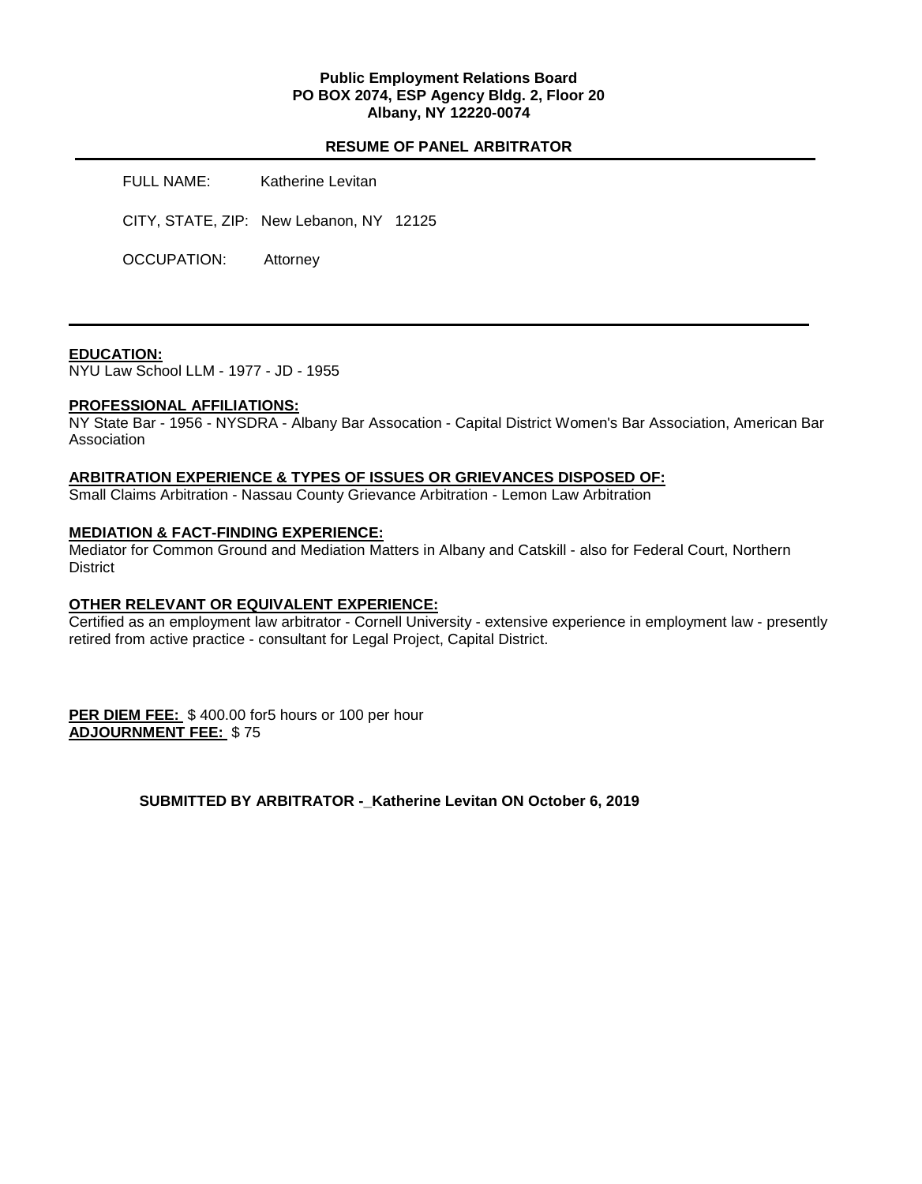### **Public Employment Relations Board PO BOX 2074, ESP Agency Bldg. 2, Floor 20 Albany, NY 12220-0074**

## **RESUME OF PANEL ARBITRATOR**

FULL NAME: Katherine Levitan

CITY, STATE, ZIP: New Lebanon, NY 12125

OCCUPATION: Attorney

### **EDUCATION:**

NYU Law School LLM - 1977 - JD - 1955

### **PROFESSIONAL AFFILIATIONS:**

NY State Bar - 1956 - NYSDRA - Albany Bar Assocation - Capital District Women's Bar Association, American Bar **Association** 

#### **ARBITRATION EXPERIENCE & TYPES OF ISSUES OR GRIEVANCES DISPOSED OF:**

Small Claims Arbitration - Nassau County Grievance Arbitration - Lemon Law Arbitration

### **MEDIATION & FACT-FINDING EXPERIENCE:**

Mediator for Common Ground and Mediation Matters in Albany and Catskill - also for Federal Court, Northern **District** 

### **OTHER RELEVANT OR EQUIVALENT EXPERIENCE:**

Certified as an employment law arbitrator - Cornell University - extensive experience in employment law - presently retired from active practice - consultant for Legal Project, Capital District.

**PER DIEM FEE:** \$400.00 for5 hours or 100 per hour **ADJOURNMENT FEE:** \$ 75

**SUBMITTED BY ARBITRATOR -\_Katherine Levitan ON October 6, 2019**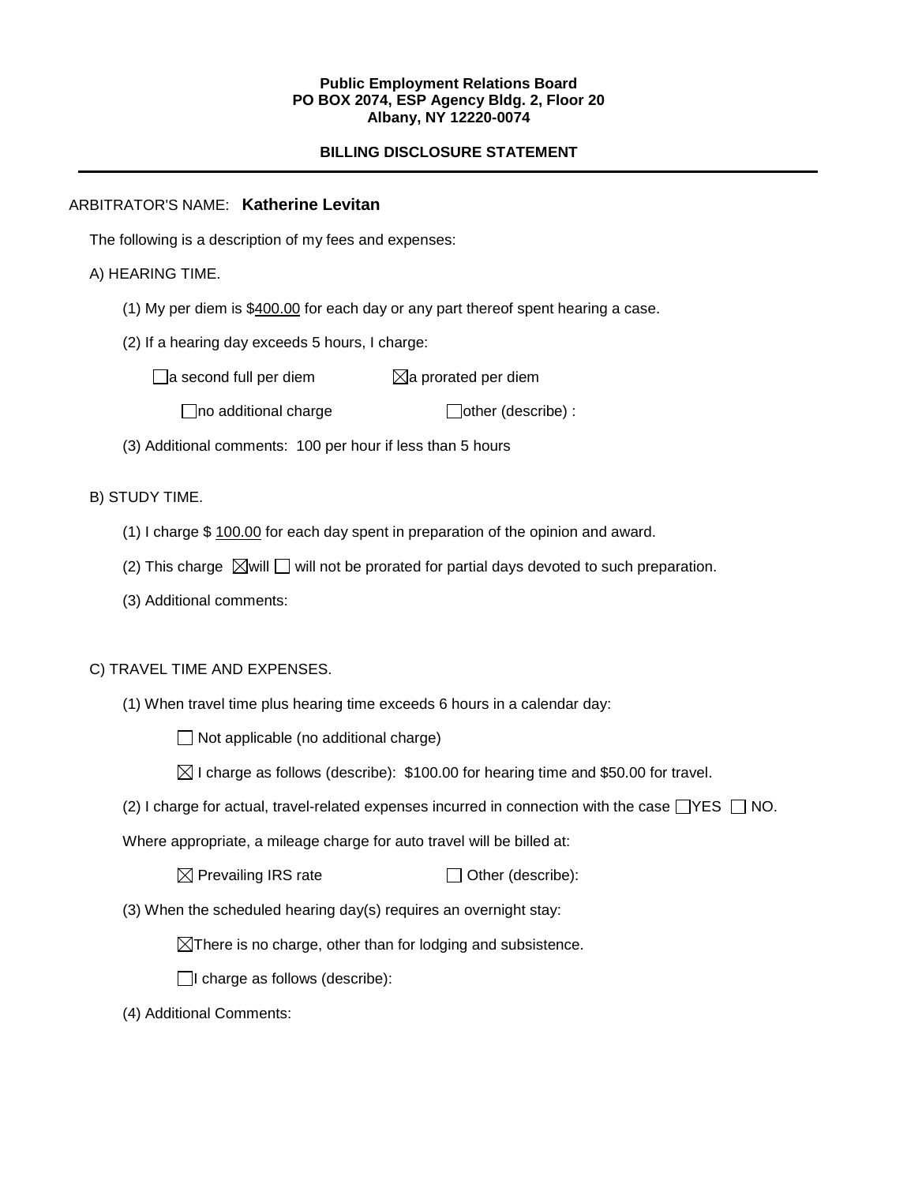### **Public Employment Relations Board PO BOX 2074, ESP Agency Bldg. 2, Floor 20 Albany, NY 12220-0074**

# **BILLING DISCLOSURE STATEMENT**

## ARBITRATOR'S NAME: **Katherine Levitan**

The following is a description of my fees and expenses:

## A) HEARING TIME.

- (1) My per diem is \$400.00 for each day or any part thereof spent hearing a case.
- (2) If a hearing day exceeds 5 hours, I charge:

 $\Box$ a second full per diem  $\boxtimes$ a prorated per diem

 $\Box$ no additional charge  $\Box$ other (describe) :

(3) Additional comments: 100 per hour if less than 5 hours

## B) STUDY TIME.

- (1) I charge \$ 100.00 for each day spent in preparation of the opinion and award.
- (2) This charge  $\boxtimes$  will  $\Box$  will not be prorated for partial days devoted to such preparation.
- (3) Additional comments:

### C) TRAVEL TIME AND EXPENSES.

(1) When travel time plus hearing time exceeds 6 hours in a calendar day:

 $\Box$  Not applicable (no additional charge)

- $\boxtimes$  I charge as follows (describe): \$100.00 for hearing time and \$50.00 for travel.
- (2) I charge for actual, travel-related expenses incurred in connection with the case  $\Box$ YES  $\Box$  NO.

Where appropriate, a mileage charge for auto travel will be billed at:

 $\boxtimes$  Prevailing IRS rate  $\Box$  Other (describe):

(3) When the scheduled hearing day(s) requires an overnight stay:

 $\boxtimes$ There is no charge, other than for lodging and subsistence.

 $\Box$ I charge as follows (describe):

(4) Additional Comments: